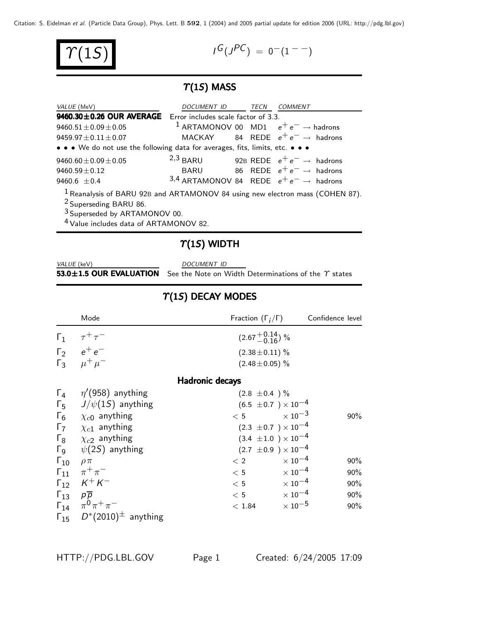Citation: S. Eidelman et al. (Particle Data Group), Phys. Lett. B **592**, 1 (2004) and 2005 partial update for edition 2006 (URL: http://pdg.lbl.gov)

|--|

$$
\mathcal{T}(1S) \qquad \qquad l^G(J^{PC}) = 0^-(1^{--})
$$

## $T(1S)$  MASS

| VALUE (MeV)                                                                                                          | DOCUMENT ID TECN COMMENT |  |                                                            |
|----------------------------------------------------------------------------------------------------------------------|--------------------------|--|------------------------------------------------------------|
| 9460.30±0.26 OUR AVERAGE Error includes scale factor of 3.3.                                                         |                          |  |                                                            |
| $9460.51 \pm 0.09 \pm 0.05$                                                                                          |                          |  | <sup>1</sup> ARTAMONOV 00 MD1 $e^+e^- \rightarrow$ hadrons |
| $9459.97 \pm 0.11 \pm 0.07$                                                                                          |                          |  | MACKAY 84 REDE $e^+e^- \rightarrow$ hadrons                |
| • • • We do not use the following data for averages, fits, limits, etc. • • •                                        |                          |  |                                                            |
| $9460.60 \pm 0.09 \pm 0.05$                                                                                          | $2,3$ BARU               |  | 92B REDE $e^+e^- \rightarrow$ hadrons                      |
| $9460.59 \pm 0.12$                                                                                                   |                          |  | BARU 86 REDE $e^+e^- \rightarrow$ hadrons                  |
| 9460.6 $\pm$ 0.4                                                                                                     |                          |  | 3,4 ARTAMONOV 84 REDE $e^+e^- \rightarrow$ hadrons         |
| $1$ Reanalysis of BARU 92B and ARTAMONOV 84 using new electron mass (COHEN 87).<br><sup>2</sup> Superseding BARU 86. |                          |  |                                                            |
|                                                                                                                      |                          |  |                                                            |

3 Superseded by ARTAMONOV 00.

4 Value includes data of ARTAMONOV 82.

### $\gamma$ (1S) WIDTH

| VALUE (keV)                   |  |  |
|-------------------------------|--|--|
| $53.0 \pm 1.5$ OUR EVALUATION |  |  |

DOCUMENT ID

See the Note on Width Determinations of the  $\gamma$  states

|                               | Mode                                                                                                   | Fraction $(\Gamma_i/\Gamma)$   |                           | Confidence level |
|-------------------------------|--------------------------------------------------------------------------------------------------------|--------------------------------|---------------------------|------------------|
|                               | $\begin{matrix} \Gamma_1 & \tau^+ \tau^- \\ \Gamma_2 & e^+ e^- \\ \Gamma_3 & \mu^+ \mu^- \end{matrix}$ | $(2.67 + 0.14)$ %              |                           |                  |
|                               |                                                                                                        | $(2.38 \pm 0.11)$ %            |                           |                  |
|                               |                                                                                                        | $(2.48 \pm 0.05)$ %            |                           |                  |
|                               |                                                                                                        | <b>Hadronic decays</b>         |                           |                  |
| $\Gamma_4$                    | $\eta$ '(958) anything                                                                                 | $(2.8 \pm 0.4) \%$             |                           |                  |
|                               | $\Gamma_5$ $J/\psi(15)$ anything                                                                       | $(6.5 \pm 0.7) \times 10^{-4}$ |                           |                  |
| $\Gamma_6$                    | $\chi_{c0}$ anything                                                                                   | $\times$ 10 $^{-3}$<br>< 5     |                           | 90%              |
| $\Gamma$                      | $\chi_{c1}$ anything                                                                                   | $(2.3 \pm 0.7) \times 10^{-4}$ |                           |                  |
|                               | $\Gamma_8$ $\chi_{c2}$ anything                                                                        | $(3.4 \pm 1.0) \times 10^{-4}$ |                           |                  |
|                               | $\Gamma$ <sub>9</sub> $\psi$ (2 <i>S</i> ) anything                                                    | $(2.7 \pm 0.9) \times 10^{-4}$ |                           |                  |
| $\Gamma_{10}$                 | $\rho \pi$                                                                                             | < 2                            | $\times$ 10 $^{-4}$       | 90%              |
|                               | $\Gamma_{11}$ $\pi^{+}\pi^{-}$                                                                         | < 5                            | $\times$ 10 <sup>-4</sup> | 90%              |
|                               | $\Gamma_{12}$ $K^+ K^-$                                                                                | < 5                            | $\times$ 10 <sup>-4</sup> | 90%              |
| $\Gamma_{13}$ $p\overline{p}$ |                                                                                                        | < 5                            | $\times$ 10 $^{-4}$       | 90%              |
|                               | $\Gamma_{14}$ $\pi^{0}\pi^{+}\pi^{-}$                                                                  | < 1.84                         | $\times$ 10 $^{-5}$       | 90%              |
|                               | $\Gamma_{15}$ $D^*(2010)^{\pm}$ anything                                                               |                                |                           |                  |

## $T(1S)$  DECAY MODES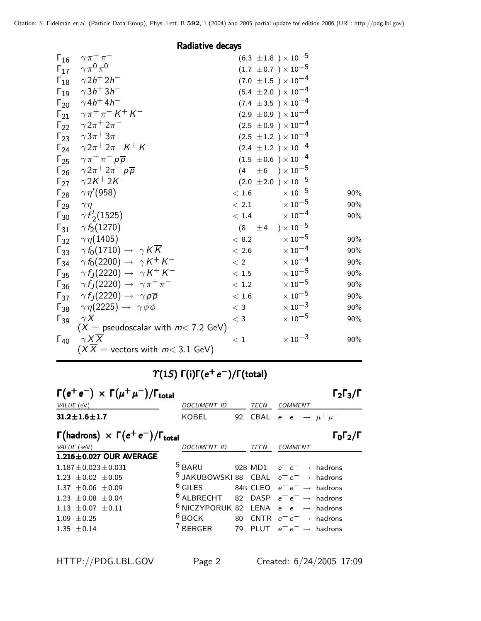Radiative decays

|               | $\gamma \pi^+ \pi^-$                                               |          | $(6.3 \pm 1.8) \times 10^{-5}$     |     |
|---------------|--------------------------------------------------------------------|----------|------------------------------------|-----|
| $\Gamma_{16}$ | $\Gamma_{17}$ $\gamma \pi^0 \pi^0$                                 |          |                                    |     |
|               |                                                                    |          | $(1.7 \pm 0.7) \times 10^{-5}$     |     |
|               | $\Gamma_{18}$ $\gamma 2h^+ 2h^-$                                   |          | $(7.0 \pm 1.5) \times 10^{-4}$     |     |
|               | $\Gamma_{19}$ $\gamma 3h^{+} 3h^{-}$                               |          | $(5.4 \pm 2.0) \times 10^{-4}$     |     |
|               | $\Gamma_{20}$ $\gamma 4h^{+} 4h^{-}$                               |          | $(7.4 \pm 3.5) \times 10^{-4}$     |     |
|               | $\Gamma_{21}$ $\gamma \pi^+ \pi^- K^+ K^-$                         |          | $(2.9 \pm 0.9) \times 10^{-4}$     |     |
|               | $\Gamma_{22}$ $\gamma 2\pi^+ 2\pi^-$                               |          | $(2.5 \pm 0.9) \times 10^{-4}$     |     |
|               | $\Gamma_{23}$ $\gamma 3\pi^{+} 3\pi^{-}$                           |          | $(2.5 \pm 1.2) \times 10^{-4}$     |     |
|               | $\Gamma_{24}$ $\gamma 2\pi^+ 2\pi^- K^+ K^-$                       |          | $(2.4 \pm 1.2) \times 10^{-4}$     |     |
|               | $\Gamma_{25}$ $\gamma \pi^+ \pi^- p \overline{p}$                  |          | $(1.5 \pm 0.6) \times 10^{-4}$     |     |
|               | $\Gamma_{26}$ $\gamma 2\pi^+ 2\pi^- p \overline{p}$                | (4)      | $\pm 6$ $)\times 10^{-5}$          |     |
|               | $\Gamma_{27}$ $\gamma 2K^{+} 2K^{-}$                               |          | $(2.0 \pm 2.0) \times 10^{-5}$     |     |
|               | $\Gamma_{28}$ $\gamma \eta' (958)$                                 | < 1.6    | $\times$ 10 <sup>-5</sup>          | 90% |
|               | $\Gamma_{29}$ $\gamma \eta$                                        | < 2.1    | $\times$ $10^{-5}$                 | 90% |
|               | $\Gamma_{30}$ $\gamma f'_2$ (1525)                                 |          | $\times$ 10 <sup>-4</sup><br>< 1.4 | 90% |
|               | $\Gamma_{31}$ $\gamma f_2(1270)$                                   | (8)      | ) $\times$ 10 $^{-5}$<br>$\pm$ 4   |     |
|               | $\Gamma_{32}$ $\gamma \eta(1405)$                                  | < 8.2    | $\times$ $10^{-5}$                 | 90% |
|               | $\Gamma_{33}$ $\gamma f_0(1710) \rightarrow \gamma K \overline{K}$ | $<\,2.6$ | $\times$ $10^{-4}$                 | 90% |
|               | $\Gamma_{34}$ $\gamma f_0(2200) \rightarrow \gamma K^+ K^-$        | < 2      | $\times$ 10 <sup>-4</sup>          | 90% |
|               | $\Gamma_{35}$ $\gamma f_J(2220) \rightarrow \gamma K^+ K^-$        | $<\,1.5$ | $\times$ 10 $^{-5}$                | 90% |
|               | $\Gamma_{36}$ $\gamma f_J(2220) \rightarrow \gamma \pi^+ \pi^-$    | < 1.2    | $\times$ $10^{-5}$                 | 90% |
|               | $\Gamma_{37}$ $\gamma f_J(2220) \rightarrow \gamma p \overline{p}$ | $<\,1.6$ | $\times$ 10 $^{-5}$                | 90% |
|               | $\Gamma_{38}$ $\gamma \eta(2225) \rightarrow \gamma \phi \phi$     | $<$ 3    | $\times\,10^{-3}$                  | 90% |
|               | $\Gamma_{39}$ $\gamma X$                                           | $\,<\,3$ | $\times$ 10 $^{-5}$                | 90% |
|               | $(X =$ pseudoscalar with $m < 7.2$ GeV)                            |          |                                    |     |
| $\Gamma_{40}$ | $\gamma X \overline{X}$                                            | $\,<\,1$ | $\times$ 10 <sup>-3</sup>          | 90% |
|               | $(X\overline{X})$ = vectors with $m< 3.1$ GeV)                     |          |                                    |     |

# $T(1S) \Gamma(i)\Gamma(e^+ e^-)/\Gamma(\text{total})$

| $\Gamma(e^+e^-) \times \Gamma(\mu^+\mu^-)/\Gamma_{\text{total}}$ |                                                              |      |                                                | 1213                         |
|------------------------------------------------------------------|--------------------------------------------------------------|------|------------------------------------------------|------------------------------|
| VALUE (eV)                                                       | DOCUMENT ID                                                  | TECN | <b>COMMENT</b>                                 |                              |
| $31.2 \pm 1.6 \pm 1.7$                                           | KOBEL                                                        |      | 92 CBAL $e^+e^- \rightarrow \mu^+\mu^-$        |                              |
| $\Gamma$ (hadrons) $\times \Gamma(e^+e^-)/\Gamma_{\text{total}}$ |                                                              |      |                                                | $\Gamma_0 \Gamma_2 / \Gamma$ |
| VALUE (keV)                                                      | <b>DOCUMENT ID</b>                                           | TECN | <b>COMMENT</b>                                 |                              |
| 1.216±0.027 OUR AVERAGE                                          |                                                              |      |                                                |                              |
| $1.187 + 0.023 + 0.031$                                          | <sup>5</sup> BARU 92B MD1 $e^+e^- \rightarrow$ hadrons       |      |                                                |                              |
| $1.23 \pm 0.02 \pm 0.05$                                         | <sup>5</sup> JAKUBOWSKI 88 CBAL $e^+e^- \rightarrow$ hadrons |      |                                                |                              |
| $1.37 + 0.06 + 0.09$                                             | $6$ GILES 84B CLEO $e^+e^- \rightarrow$ hadrons              |      |                                                |                              |
| $1.23 \pm 0.08 \pm 0.04$                                         | <sup>6</sup> ALBRECHT 82 DASP $e^+e^- \rightarrow$ hadrons   |      |                                                |                              |
| $1.13 \pm 0.07 \pm 0.11$                                         | <sup>6</sup> NICZYPORUK 82 LENA $e^+e^- \rightarrow$ hadrons |      |                                                |                              |
| $1.09 \pm 0.25$                                                  | $6$ BOCK                                                     |      | 80 $\textsf{CNTR}$ $e^+e^-\rightarrow$ hadrons |                              |
| $1.35 + 0.14$                                                    | <sup>7</sup> BERGER 79 PLUT $e^+e^- \rightarrow$ hadrons     |      |                                                |                              |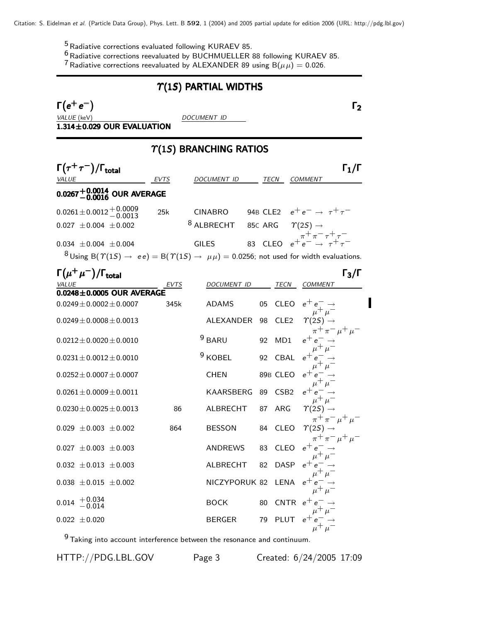<sup>5</sup> Radiative corrections evaluated following KURAEV 85.

 $6$  Radiative corrections reevaluated by BUCHMUELLER 88 following KURAEV 85.

<sup>7</sup> Radiative corrections reevaluated by ALEXANDER 89 using  $B(\mu\mu)=0.026$ .

#### $\Upsilon(1S)$  PARTIAL WIDTHS  $\Gamma(e^+e^-)$  Γ<sub>2</sub>  $\Gamma(e^+e^-)$  Γ<sub>2</sub>  $(e^+e^-)$ VALUE (keV) DOCUMENT ID  $1.314\pm0.029$  OUR EVALUATION  $\Upsilon(1S)$  BRANCHING RATIOS  $\Gamma(\tau^+\tau^-)/\Gamma_{\rm total}$  Γ<sub>1</sub>/Γ total $11/$ VALUE **EVTS** DOCUMENT ID TECN COMMENT  $0.0267^{+0.0014}_{-0.0016}$  OUR AVERAGE 0.0261±0.0012<sup>+0.0009</sup> 25k CINABRO 94B CLE2  $e^+e^- \rightarrow \tau^+\tau^-$ <br>0.027 ±0.004 ±0.002 <sup>8</sup> ALBRECHT 85c ARG  $\gamma(2S) \rightarrow$  $0.027 \pm 0.004 \pm 0.002$  $\tau^-\pi^+\tau^+$ <br> $\tau^+\pi^+\tau^-$ 0.034  $\pm$ 0.004  $\pm$ 0.004 **GILES** 83 CLEO  $e^+e^ 8$  Using B( $\Upsilon(1S) \rightarrow ee$ ) = B( $\Upsilon(1S) \rightarrow \mu\mu$ ) = 0.0256; not used for width evaluations.  $\Gamma(\mu^+\mu^-)/\Gamma_{\rm total}$  Γ<sub>3</sub>/Γ total $\overline{3/3}$ EVTS DOCUMENT ID TECN COMMENT  $0.0248\pm0.0005$  OUR AVERAGE  $0.0249 \pm 0.0002 \pm 0.0007$  345k ADAMS 05 CLEO  $e^+ \, e^- \rightarrow \mu^+ \, \mu^ 0.0249 \pm 0.0008 \pm 0.0013$  ALEXANDER 98 CLE2  $\Upsilon(2S)$  $\pi^+ \pi^- \mu^+ \mu^ 0.0212 \pm 0.0020 \pm 0.0010$  9 BARU 92 MD1  $\mu^+ \mu^ 0.0231 \pm 0.0012 \pm 0.0010$  9 KOBEL 92 CBAL  $\mu^+ \mu^ 0.0252 \pm 0.0007 \pm 0.0007$  CHEN 89B CLEO  $\mu^+ \mu^ 0.0261 \pm 0.0009 \pm 0.0011$  KAARSBERG 89 CSB2  $\mu^+ \mu^ 0.0230 \pm 0.0025 \pm 0.0013$  86 ALBRECHT 87 ARG  $\Upsilon(2S)$  $\pi^+ \pi^- \mu^+ \mu^ 0.029 \pm 0.003 \pm 0.002$  864 BESSON 84 CLEO  $\Upsilon(25)$  $\pi^+ \pi^- \mu^+ \mu^ 0.027 \pm 0.003 \pm 0.003$  ANDREWS 83 CLEO  $e^+$  $\mu^+ \mu^-$ 0.032  $\pm$ 0.013  $\pm$ 0.003 ALBRECHT 82 DASP  $e^+$  $\mu^+ \mu^ 0.038 \pm 0.015 \pm 0.002$  NICZYPORUK 82 LENA e  $\mu^+ \mu^ 0.014$  +  $0.034$   $-0.014$  BOCK 80 CNTR  $e^+$  $\mu^+ \mu^-$ 0.022  $\pm$ 0.020 BERGER 79 PLUT  $e^+e^-_+$   $\rightarrow$  $\mu^+ \mu^-$

 $9$  Taking into account interference between the resonance and continuum.

HTTP://PDG.LBL.GOV Page 3 Created: 6/24/2005 17:09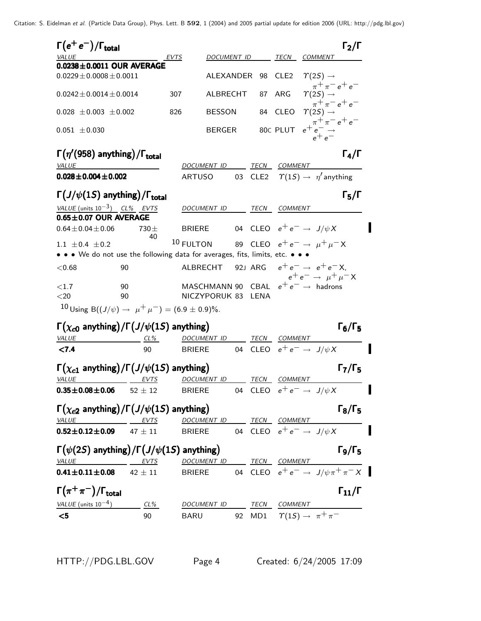| $\Gamma(e^+e^-)/\Gamma_{\rm total}$                                                                                              |                 |               |                          |                        |                  |                                                                  | $\Gamma_2/\Gamma$                 |
|----------------------------------------------------------------------------------------------------------------------------------|-----------------|---------------|--------------------------|------------------------|------------------|------------------------------------------------------------------|-----------------------------------|
| <b>VALUE</b>                                                                                                                     |                 | EVTS          | <i>DOCUMENT ID</i>       |                        | TECN             | <b>COMMENT</b>                                                   |                                   |
| $0.0238 \pm 0.0011$ OUR AVERAGE                                                                                                  |                 |               |                          |                        |                  |                                                                  |                                   |
| $0.0229 \pm 0.0008 \pm 0.0011$                                                                                                   |                 |               | ALEXANDER                | 98                     | CLE <sub>2</sub> | $\Upsilon(2S) \rightarrow$<br>$\pi^{+}\pi^{-}e^{+}e^{-}$         |                                   |
| $0.0242 \pm 0.0014 \pm 0.0014$                                                                                                   |                 | 307           | ALBRECHT                 | 87                     | ARG              | $\Upsilon(2S) \rightarrow$<br>$\pi^{+}\pi^{-}e^{+}e^{-}$         |                                   |
| $0.028 \pm 0.003 \pm 0.002$                                                                                                      |                 | 826           | <b>BESSON</b>            |                        | 84 CLEO          | $\Upsilon(2S) \rightarrow$                                       |                                   |
| $0.051 \pm 0.030$                                                                                                                |                 |               | <b>BERGER</b>            |                        | 80C PLUT         | $e^+e^ \rightarrow$ $e^+e^-$                                     |                                   |
| $\Gamma(\eta'(958)$ anything)/ $\Gamma_{total}$                                                                                  |                 |               |                          |                        |                  |                                                                  | $\Gamma_4/\Gamma$                 |
| VALUE                                                                                                                            |                 |               | DOCUMENT ID              | TECN                   | COMMENT          |                                                                  |                                   |
| $0.028 \pm 0.004 \pm 0.002$                                                                                                      |                 | <b>ARTUSO</b> |                          | 03<br>CLE <sub>2</sub> |                  | $\Upsilon(1S) \rightarrow \eta'$ anything                        |                                   |
| $\Gamma(J/\psi(1S)$ anything)/ $\Gamma_{total}$                                                                                  |                 |               |                          |                        |                  |                                                                  | $\Gamma_5/\Gamma$                 |
| VALUE (units $10^{-3}$ ) CL% EVTS                                                                                                |                 |               | DOCUMENT ID              | TECN                   | COMMENT          |                                                                  |                                   |
| $0.65 \pm 0.07$ OUR AVERAGE                                                                                                      |                 |               |                          |                        |                  |                                                                  |                                   |
| $0.64 \pm 0.04 \pm 0.06$                                                                                                         | $730 \pm$<br>40 | <b>BRIERE</b> |                          |                        |                  | 04 CLEO $e^+e^- \rightarrow J/\psi X$                            |                                   |
| 1.1 $\pm$ 0.4 $\pm$ 0.2                                                                                                          |                 | 10 FULTON     |                          |                        |                  | 89 CLEO $e^+e^- \rightarrow \mu^+\mu^- X$                        |                                   |
| • • • We do not use the following data for averages, fits, limits, etc. • • •                                                    |                 |               |                          |                        |                  |                                                                  |                                   |
| < 0.68                                                                                                                           | 90              | ALBRECHT      |                          | 92J ARG                |                  | $e^+e^- \rightarrow e^+e^-X$<br>$e^+e^- \rightarrow \mu^+\mu^-X$ |                                   |
| ${<}1.7$                                                                                                                         | 90              |               |                          |                        |                  | MASCHMANN 90 CBAL $e^+e^- \rightarrow$ hadrons                   |                                   |
| $<$ 20                                                                                                                           | 90              |               | NICZYPORUK 83 LENA       |                        |                  |                                                                  |                                   |
| 10 Using B( $(J/\psi) \rightarrow \mu^+ \mu^-$ ) = (6.9 ± 0.9)%.                                                                 |                 |               |                          |                        |                  |                                                                  |                                   |
| $\Gamma(\chi_{c0}$ anything)/ $\Gamma(J/\psi(1S)$ anything)                                                                      |                 |               |                          |                        |                  |                                                                  | $\Gamma_6/\Gamma_5$               |
| VALUE                                                                                                                            | $CL\%$          |               | <u>DOCUMENT ID</u>       | TECN                   | COMMENT          |                                                                  |                                   |
| < 7.4                                                                                                                            | 90              | <b>BRIERE</b> |                          |                        |                  | 04 CLEO $e^+e^- \rightarrow J/\psi X$                            |                                   |
|                                                                                                                                  |                 |               |                          |                        |                  |                                                                  |                                   |
| $\Gamma(\chi_{c1}$ anything)/ $\Gamma(J/\psi(1S)$ anything)                                                                      |                 |               |                          |                        |                  |                                                                  | $\Gamma$ 7/ $\Gamma$ <sub>5</sub> |
| <b>VALUE</b>                                                                                                                     |                 |               | DOCUMENT ID TECN COMMENT |                        |                  |                                                                  |                                   |
| $0.35 \pm 0.08 \pm 0.06$ 52 $\pm$ 12                                                                                             |                 |               |                          |                        |                  | BRIERE 04 CLEO $e^+e^- \rightarrow J/\psi X$                     |                                   |
|                                                                                                                                  |                 |               |                          |                        |                  |                                                                  | $\Gamma_8/\Gamma_5$               |
| $\Gamma(\chi_{c2}$ anything)/ $\Gamma(J/\psi(1S))$ anything)                                                                     |                 |               |                          |                        |                  |                                                                  |                                   |
| VALUE <b>EVTS</b> DOCUMENT ID TECN COMMENT<br>$0.52 \pm 0.12 \pm 0.09$ 47 $\pm$ 11                                               |                 |               |                          |                        |                  | BRIERE 04 CLEO $e^+e^- \rightarrow J/\psi X$                     |                                   |
|                                                                                                                                  |                 |               |                          |                        |                  |                                                                  |                                   |
| $\Gamma(\psi(2S)$ anything)/ $\Gamma(J/\psi(1S)$ anything)                                                                       |                 |               |                          |                        |                  |                                                                  | $\Gamma_9/\Gamma_5$               |
| $\frac{V A L U E}{0.41 \pm 0.11 \pm 0.08}$ $\frac{E V T S}{42 \pm 11}$ BRIERE 04 CLEO $e^+ e^- \rightarrow J/\psi \pi^+ \pi^- X$ |                 |               |                          |                        |                  |                                                                  |                                   |
|                                                                                                                                  |                 |               |                          |                        |                  |                                                                  |                                   |
| $\Gamma(\pi^+\pi^-)/\Gamma_{\rm total}$                                                                                          |                 |               |                          |                        |                  |                                                                  | $\Gamma_{11}/\Gamma$              |
| $VALU E$ (units $10^{-4}$ ) CL% DOCUMENT ID TECN COMMENT                                                                         |                 |               |                          |                        |                  |                                                                  |                                   |
| $<$ 5                                                                                                                            | 90              | <b>BARU</b>   |                          |                        |                  | 92 MD1 $\varUpsilon(1S) \rightarrow \pi^{+}\pi^{-}$              |                                   |
|                                                                                                                                  |                 |               |                          |                        |                  |                                                                  |                                   |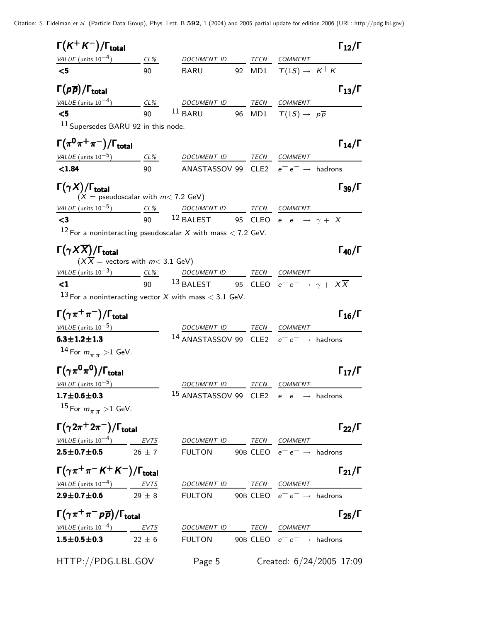Citation: S. Eidelman et al. (Particle Data Group), Phys. Lett. B **592**, 1 (2004) and 2005 partial update for edition 2006 (URL: http://pdg.lbl.gov)

| $\Gamma(K^+K^-)/\Gamma_{\rm total}$                                                                                                                                                                                                |    |                                                                                            |  |                                          | $\Gamma_{12}/\Gamma$     |
|------------------------------------------------------------------------------------------------------------------------------------------------------------------------------------------------------------------------------------|----|--------------------------------------------------------------------------------------------|--|------------------------------------------|--------------------------|
| $VALUE$ (units $10^{-4}$ ) $CL\%$ DOCUMENT ID TECN COMMENT                                                                                                                                                                         |    |                                                                                            |  |                                          |                          |
| $\leq 5$                                                                                                                                                                                                                           | 90 | <b>BARU</b>                                                                                |  | 92 MD1 $\Upsilon(1S) \rightarrow K^+K^-$ |                          |
| $\Gamma(p\overline{p})/\Gamma_{\rm total}$                                                                                                                                                                                         |    |                                                                                            |  |                                          | $\Gamma_{13}/\Gamma$     |
| $VALUE$ (units $10^{-4}$ ) CL% DOCUMENT ID TECN COMMENT                                                                                                                                                                            |    |                                                                                            |  |                                          |                          |
| $\leq 5$                                                                                                                                                                                                                           | 90 | 11 BARU 96 MD1 $\mathcal{T}(1S) \rightarrow p\overline{p}$                                 |  |                                          |                          |
| 11 Supersedes BARU 92 in this node.                                                                                                                                                                                                |    |                                                                                            |  |                                          |                          |
| $\Gamma(\pi^0\pi^+\pi^-)/\Gamma_{\rm total}$                                                                                                                                                                                       |    |                                                                                            |  |                                          | $\Gamma_{14}/\Gamma$     |
| $VALUE$ (units $10^{-5}$ ) CL% DOCUMENT ID TECN COMMENT                                                                                                                                                                            |    |                                                                                            |  |                                          |                          |
| < 1.84                                                                                                                                                                                                                             | 90 | ANASTASSOV 99 $\,$ CLE2 $\,$ $\,$ e <sup>+</sup> e <sup>-</sup> $\rightarrow$ $\,$ hadrons |  |                                          |                          |
| $\Gamma(\gamma X)/\Gamma_{\rm total}$                                                                                                                                                                                              |    |                                                                                            |  |                                          | $\Gamma_{39}/\Gamma$     |
| $(X =$ pseudoscalar with $m < 7.2$ GeV)                                                                                                                                                                                            |    |                                                                                            |  |                                          |                          |
| $VALUE$ (units $10^{-5}$ ) $CL\%$ DOCUMENT ID TECN COMMENT                                                                                                                                                                         |    |                                                                                            |  |                                          |                          |
| $\leq$ 3                                                                                                                                                                                                                           |    | 90 <sup>12</sup> BALEST 95 CLEO $e^+e^- \rightarrow \gamma + X$                            |  |                                          |                          |
| <sup>12</sup> For a noninteracting pseudoscalar X with mass $<$ 7.2 GeV.                                                                                                                                                           |    |                                                                                            |  |                                          |                          |
| $\Gamma(\gamma X \overline{X})/\Gamma_{\text{total}}$                                                                                                                                                                              |    |                                                                                            |  |                                          | $\Gamma_{40}/\Gamma$     |
| $(X\overline{X})$ = vectors with $m< 3.1$ GeV)                                                                                                                                                                                     |    |                                                                                            |  |                                          |                          |
| $\frac{\text{VALUE (units 10}^{-3})}{\text{C1}}$ $\frac{\text{CL\%}}{90}$ $\frac{\text{DOCUMENT ID}}{13 \text{ BALEST}}$ $\frac{\text{TECN}}{95}$ $\frac{\text{COMMENT}}{\text{CLEO}}$ $e^+e^- \rightarrow \gamma + X\overline{X}$ |    |                                                                                            |  |                                          |                          |
|                                                                                                                                                                                                                                    |    |                                                                                            |  |                                          |                          |
| 13 For a noninteracting vector X with mass $<$ 3.1 GeV.                                                                                                                                                                            |    |                                                                                            |  |                                          |                          |
| $\Gamma(\gamma\pi^+\pi^-)/\Gamma_{\rm total}$                                                                                                                                                                                      |    |                                                                                            |  |                                          | $\Gamma_{16}/\Gamma$     |
| VALUE (units $10^{-5}$ )                                                                                                                                                                                                           |    | DOCUMENT ID TECN COMMENT                                                                   |  |                                          |                          |
| $6.3 \pm 1.2 \pm 1.3$                                                                                                                                                                                                              |    | <sup>14</sup> ANASTASSOV 99 CLE2 $e^+e^- \rightarrow$ hadrons                              |  |                                          |                          |
| <sup>14</sup> For $m_{\pi\pi}$ >1 GeV.                                                                                                                                                                                             |    |                                                                                            |  |                                          |                          |
| $\Gamma(\gamma\pi^0\pi^0)/\Gamma_{\rm total}$                                                                                                                                                                                      |    |                                                                                            |  |                                          | $\Gamma_{17}/\Gamma$     |
| VALUE (units $10^{-5}$ )                                                                                                                                                                                                           |    | DOCUMENT ID                                                                                |  | TECN COMMENT                             |                          |
| $1.7 \pm 0.6 \pm 0.3$                                                                                                                                                                                                              |    | <sup>15</sup> ANASTASSOV 99 CLE2 $e^+e^- \rightarrow$ hadrons                              |  |                                          |                          |
| $15$ For $m_{\pi\pi}$ > 1 GeV.                                                                                                                                                                                                     |    |                                                                                            |  |                                          |                          |
| $\Gamma(\gamma 2\pi^+ 2\pi^-)/\Gamma_{\rm total}$                                                                                                                                                                                  |    |                                                                                            |  |                                          | $\Gamma_{22}/\Gamma$     |
|                                                                                                                                                                                                                                    |    |                                                                                            |  |                                          |                          |
| $\frac{VALUE \text{ (units 10}^{-4})}{2.5 \pm 0.7 \pm 0.5}$ $\frac{EVTS}{26 \pm 7}$ $\frac{DOCUMENT \text{ ID}}{FULTON}$ $\frac{TECN}{90B}$ $\frac{COMMENT}{CLEO}$ $e^+e^- \rightarrow$ hadrons                                    |    |                                                                                            |  |                                          |                          |
| $\Gamma(\gamma \pi^+ \pi^- K^+ K^-)/\Gamma_{\text{total}}$                                                                                                                                                                         |    |                                                                                            |  |                                          | $\Gamma_{21}/\Gamma$     |
|                                                                                                                                                                                                                                    |    |                                                                                            |  |                                          |                          |
| $VALUE$ (units $10^{-4}$ ) EVTS                                                                                                                                                                                                    |    | DOCUMENT ID TECN COMMENT<br>FULTON 90B CLEO $e^+e^- \rightarrow$ hadrons                   |  |                                          |                          |
| $2.9 \pm 0.7 \pm 0.6$ 29 $\pm$ 8                                                                                                                                                                                                   |    |                                                                                            |  |                                          |                          |
| $\Gamma(\gamma \pi^+ \pi^- \rho \overline{\rho})/\Gamma_{\text{total}}$                                                                                                                                                            |    |                                                                                            |  |                                          | $\Gamma_{25}/\Gamma$     |
| $VALUE (units 10-4)$ <i>EVTS DOCUMENT ID TECN COMMENT</i>                                                                                                                                                                          |    |                                                                                            |  |                                          |                          |
| $1.5 \pm 0.5 \pm 0.3$ 22 $\pm$ 6                                                                                                                                                                                                   |    | FULTON 90B CLEO $e^+e^- \rightarrow$ hadrons                                               |  |                                          |                          |
| HTTP://PDG.LBL.GOV                                                                                                                                                                                                                 |    | Page 5                                                                                     |  |                                          | Created: 6/24/2005 17:09 |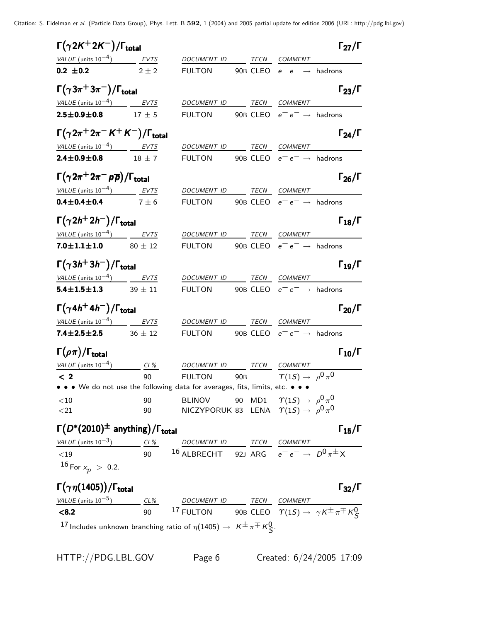Citation: S. Eidelman et al. (Particle Data Group), Phys. Lett. B **592**, 1 (2004) and 2005 partial update for edition 2006 (URL: http://pdg.lbl.gov)

| $\Gamma(\gamma 2K^+ 2K^-)/\Gamma_{\rm total}$                                                                                                                                                                                                                                           |            |                                                                                   |                                           | $\Gamma_{27}/\Gamma$ |
|-----------------------------------------------------------------------------------------------------------------------------------------------------------------------------------------------------------------------------------------------------------------------------------------|------------|-----------------------------------------------------------------------------------|-------------------------------------------|----------------------|
| VALUE (units $10^{-4}$ ) EVTS                                                                                                                                                                                                                                                           |            | DOCUMENT ID TECN COMMENT                                                          |                                           |                      |
| $0.2 \pm 0.2$                                                                                                                                                                                                                                                                           | $2 + 2$    | FULTON 90B CLEO $e^+e^- \rightarrow$ hadrons                                      |                                           |                      |
| $\Gamma(\gamma 3\pi^+ 3\pi^-)/\Gamma_{\rm total}$                                                                                                                                                                                                                                       |            |                                                                                   |                                           | $\Gamma_{23}/\Gamma$ |
| VALUE (units $10^{-4}$ ) EVTS                                                                                                                                                                                                                                                           |            | DOCUMENT ID TECN COMMENT                                                          |                                           |                      |
| $2.5 \pm 0.9 \pm 0.8$                                                                                                                                                                                                                                                                   | $17 \pm 5$ | FULTON 90B CLEO $e^+e^- \rightarrow$ hadrons                                      |                                           |                      |
| $\Gamma(\gamma 2\pi^+ 2\pi^- K^+ K^-)/\Gamma_{\rm total}$                                                                                                                                                                                                                               |            |                                                                                   |                                           | $\Gamma_{24}/\Gamma$ |
| $VALUE$ (units $10^{-4}$ ) EVTS                                                                                                                                                                                                                                                         |            | DOCUMENT ID TECN COMMENT                                                          |                                           |                      |
| $2.4 \pm 0.9 \pm 0.8$ 18 $\pm$ 7                                                                                                                                                                                                                                                        |            | FULTON 90B CLEO $e^+e^- \rightarrow$ hadrons                                      |                                           |                      |
| $\Gamma(\gamma 2\pi^+ 2\pi^- \rho \overline{\rho})/\Gamma_{\rm total}$                                                                                                                                                                                                                  |            |                                                                                   |                                           | $\Gamma_{26}/\Gamma$ |
| VALUE (units $10^{-4}$ ) EVTS                                                                                                                                                                                                                                                           |            | DOCUMENT ID TECN COMMENT                                                          |                                           |                      |
| 0.4 $\pm$ 0.4 $\pm$ 0.4 7 $\pm$ 6                                                                                                                                                                                                                                                       |            | FULTON 90B CLEO $e^+e^- \rightarrow$ hadrons                                      |                                           |                      |
| $\Gamma(\gamma 2h^+ 2h^-)/\Gamma_{\rm total}$                                                                                                                                                                                                                                           |            |                                                                                   |                                           | $\Gamma_{18}/\Gamma$ |
| $VALUE$ (units $10^{-4}$ ) EVTS                                                                                                                                                                                                                                                         |            | DOCUMENT ID TECN COMMENT                                                          |                                           |                      |
| 7.0 $\pm$ 1.1 $\pm$ 1.0 80 $\pm$ 12                                                                                                                                                                                                                                                     |            | FULTON 90B CLEO $e^+e^- \rightarrow$ hadrons                                      |                                           |                      |
| $\Gamma(\gamma 3h^+3h^-)/\Gamma_{\rm total}$                                                                                                                                                                                                                                            |            |                                                                                   |                                           | $\Gamma_{19}/\Gamma$ |
| $VALUE (units 10-4)$ EVTS                                                                                                                                                                                                                                                               |            | DOCUMENT ID TECN COMMENT                                                          |                                           |                      |
| $5.4 \pm 1.5 \pm 1.3$ 39 $\pm$ 11                                                                                                                                                                                                                                                       |            | FULTON 90B CLEO $e^+e^- \rightarrow$ hadrons                                      |                                           |                      |
| $\Gamma(\gamma 4h^{+}4h^{-})/\Gamma_{\rm total}$                                                                                                                                                                                                                                        |            |                                                                                   |                                           | $\Gamma_{20}/\Gamma$ |
| $VALUE$ (units $10^{-4}$ ) EVTS                                                                                                                                                                                                                                                         |            | DOCUMENT ID TECN COMMENT                                                          |                                           |                      |
| 7.4 $\pm$ 2.5 $\pm$ 2.5 36 $\pm$ 12                                                                                                                                                                                                                                                     |            | FULTON 90B CLEO $e^+e^- \rightarrow$ hadrons                                      |                                           |                      |
| $\Gamma(\rho\pi)/\Gamma_{\rm total}$                                                                                                                                                                                                                                                    |            |                                                                                   |                                           | $\Gamma_{10}/\Gamma$ |
| VALUE (units $10^{-4}$ ) CL%                                                                                                                                                                                                                                                            |            | DOCUMENT ID TECN COMMENT                                                          |                                           |                      |
| $\lt 2$<br>• • • We do not use the following data for averages, fits, limits, etc. • • •                                                                                                                                                                                                | 90         | <b>FULTON</b>                                                                     | 90B $\gamma(1S) \rightarrow \rho^0 \pi^0$ |                      |
|                                                                                                                                                                                                                                                                                         |            |                                                                                   |                                           |                      |
| $<$ 10<br>$<$ 21                                                                                                                                                                                                                                                                        | 90<br>90   | <b>BLINOV</b><br>NICZYPORUK 83 LENA $\hat{T}(1S) \rightarrow \rho^0 \pi^0$        | 90 MD1 $\Upsilon(1S) \to \rho^0 \pi^0$    |                      |
| $\Gamma(D^*(2010)^{\pm}$ anything)/ $\Gamma_{total}$                                                                                                                                                                                                                                    |            |                                                                                   |                                           | $\Gamma_{15}/\Gamma$ |
|                                                                                                                                                                                                                                                                                         |            |                                                                                   |                                           |                      |
| $\frac{\text{VALU E (units 10}^{-3})}{\text{C19}}$ $\frac{\text{CL\%}}{\text{90}}$ $\frac{\text{DOCUMENT ID}}{\text{16 ALBRECHT}}$ $\frac{\text{TECN}}{\text{92J}}$ $\frac{\text{CEN}}{\text{RFG}}$ $\frac{\text{COMMENT}}{\text{e}^+ \text{e}^-}$ $\rightarrow D^0 \pi^{\pm} \text{X}$ |            |                                                                                   |                                           |                      |
| $16$ For $x_p > 0.2$ .                                                                                                                                                                                                                                                                  |            |                                                                                   |                                           |                      |
| $\Gamma(\gamma\eta(1405)) / \Gamma_{\text{total}}$                                                                                                                                                                                                                                      |            |                                                                                   |                                           | $\Gamma_{32}/\Gamma$ |
|                                                                                                                                                                                                                                                                                         |            |                                                                                   |                                           |                      |
| VALUE (units $10^{-5}$ )<br>$\frac{CL\%}{90}$ $17$ FULTON 90B CLEO $\Upsilon(1S) \rightarrow \gamma K^{\pm} \pi^{\mp} K_S^0$                                                                                                                                                            |            |                                                                                   |                                           |                      |
|                                                                                                                                                                                                                                                                                         |            | 17 Includes unknown branching ratio of $\eta(1405) \to K^{\pm} \pi^{\mp} K^0_S$ . |                                           |                      |

HTTP://PDG.LBL.GOV Page 6 Created: 6/24/2005 17:09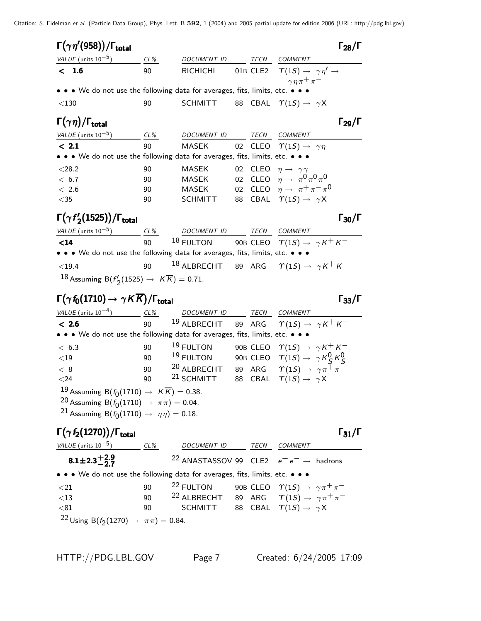|         | $\Gamma(\gamma\eta^{\prime}(958))/\Gamma_{\rm total}$                                                                                                                                                                                                                                                                   |          |                                                                             |    |      |                                                                                                                              | $\Gamma_{28}/\Gamma$                         |
|---------|-------------------------------------------------------------------------------------------------------------------------------------------------------------------------------------------------------------------------------------------------------------------------------------------------------------------------|----------|-----------------------------------------------------------------------------|----|------|------------------------------------------------------------------------------------------------------------------------------|----------------------------------------------|
|         | VALUE (units $10^{-5}$ )                                                                                                                                                                                                                                                                                                | CL%      | DOCUMENT ID                                                                 |    | TECN | COMMENT                                                                                                                      |                                              |
|         | < 1.6                                                                                                                                                                                                                                                                                                                   | 90       | <b>RICHICHI</b>                                                             |    |      | 01B CLE2 $\qquad(1S) \rightarrow \gamma \eta' \rightarrow$                                                                   |                                              |
|         |                                                                                                                                                                                                                                                                                                                         |          |                                                                             |    |      | $\gamma \eta \pi^+ \pi^-$                                                                                                    |                                              |
|         | • • • We do not use the following data for averages, fits, limits, etc. •                                                                                                                                                                                                                                               |          |                                                                             |    |      |                                                                                                                              |                                              |
| $<$ 130 |                                                                                                                                                                                                                                                                                                                         | 90       | <b>SCHMITT</b>                                                              |    |      | 88 CBAL $\Upsilon(1S) \rightarrow \gamma X$                                                                                  |                                              |
|         | $\Gamma(\gamma\eta)/\Gamma_{\rm total}$                                                                                                                                                                                                                                                                                 |          |                                                                             |    |      |                                                                                                                              | $\Gamma_{29}/\Gamma$                         |
|         | VALUE (units $10^{-5}$ ) CL%                                                                                                                                                                                                                                                                                            |          | DOCUMENT ID                                                                 |    |      | TECN COMMENT                                                                                                                 |                                              |
|         | < 2.1                                                                                                                                                                                                                                                                                                                   | 90       | MASEK                                                                       |    |      | 02 CLEO $\Upsilon(1S) \rightarrow \gamma \eta$                                                                               |                                              |
|         | • • • We do not use the following data for averages, fits, limits, etc. • • •                                                                                                                                                                                                                                           |          |                                                                             |    |      |                                                                                                                              |                                              |
| < 28.2  |                                                                                                                                                                                                                                                                                                                         | 90       | MASEK                                                                       | 02 |      | CLEO $\eta \rightarrow \gamma \gamma$                                                                                        |                                              |
|         | < 6.7                                                                                                                                                                                                                                                                                                                   | 90       | MASEK                                                                       |    |      | 02 CLEO $\eta \to \pi^0 \pi^0 \pi^0$                                                                                         |                                              |
|         | < 2.6                                                                                                                                                                                                                                                                                                                   | 90       | MASEK                                                                       |    |      | 02 CLEO $\eta \rightarrow \pi^+ \pi^- \pi^0$                                                                                 |                                              |
| $<$ 35  |                                                                                                                                                                                                                                                                                                                         | 90       | <b>SCHMITT</b>                                                              | 88 |      | CBAL $\Upsilon(1S) \rightarrow \gamma X$                                                                                     |                                              |
|         | $\Gamma(\gamma f_2'(1525))/\Gamma_{\rm total}$                                                                                                                                                                                                                                                                          |          |                                                                             |    |      |                                                                                                                              | $\Gamma_{30}/\Gamma$                         |
|         | VALUE (units 10 <sup>-5</sup> ) $\frac{CL\%}{90}$ 18 FULTON 90B CLEO $\gamma(1S) \rightarrow \gamma K^{+} K^{-}$                                                                                                                                                                                                        |          |                                                                             |    |      |                                                                                                                              |                                              |
|         |                                                                                                                                                                                                                                                                                                                         |          |                                                                             |    |      |                                                                                                                              |                                              |
|         | • • • We do not use the following data for averages, fits, limits, etc. • • •                                                                                                                                                                                                                                           |          |                                                                             |    |      |                                                                                                                              |                                              |
|         | $<$ 19.4                                                                                                                                                                                                                                                                                                                | 90       | <sup>18</sup> ALBRECHT 89 ARG $\Upsilon(1S) \rightarrow \gamma K^+ K^-$     |    |      |                                                                                                                              |                                              |
|         | 18 Assuming B( $f'_{2}(1525) \rightarrow K\overline{K}$ ) = 0.71.                                                                                                                                                                                                                                                       |          |                                                                             |    |      |                                                                                                                              |                                              |
|         |                                                                                                                                                                                                                                                                                                                         |          |                                                                             |    |      |                                                                                                                              |                                              |
|         | $\Gamma(\gamma\,f_0(1710)\rightarrow\gamma\,K\overline{K})/\Gamma_{\rm total}$                                                                                                                                                                                                                                          |          |                                                                             |    |      |                                                                                                                              |                                              |
|         |                                                                                                                                                                                                                                                                                                                         |          |                                                                             |    |      |                                                                                                                              |                                              |
|         | $\frac{\textit{VALUE (units 10}^{-4})}{\textit{6}} \quad \frac{\textit{CL\%}}{\textit{90}} \quad \frac{\textit{DOCUMENT ID}}{\textit{ALBRECHT}} \quad \frac{\textit{TECN}}{\textit{89}} \quad \frac{\textit{COMMENT}}{\textit{RIG}} \quad \frac{\textit{COMMENT}}{\textit{7(1S)}} \rightarrow \gamma \kappa^+ \kappa^-$ |          |                                                                             |    |      |                                                                                                                              |                                              |
|         | • • • We do not use the following data for averages, fits, limits, etc. • • •                                                                                                                                                                                                                                           |          |                                                                             |    |      |                                                                                                                              |                                              |
| < 6.3   |                                                                                                                                                                                                                                                                                                                         | 90       | 19 FULTON                                                                   |    |      | 90B CLEO $\qquad(1S) \rightarrow \gamma K^+ K^-$                                                                             |                                              |
| $<$ 19  |                                                                                                                                                                                                                                                                                                                         | 90       | 19 FULTON                                                                   |    |      | 90B CLEO $\quad \  \  \tau (\mathbb{1S}) \rightarrow \ \ \gamma \, \mathsf{K}^0_{\mathcal{S}} \, \mathsf{K}^0_{\mathcal{S}}$ |                                              |
| < 8     |                                                                                                                                                                                                                                                                                                                         | 90       | <sup>20</sup> ALBRECHT 89 ARG $\Upsilon(1S) \rightarrow \gamma \pi^+ \pi^-$ |    |      |                                                                                                                              |                                              |
| $<$ 24  |                                                                                                                                                                                                                                                                                                                         | 90       | <sup>21</sup> SCHMITT                                                       | 88 |      | CBAL $\Upsilon(1S) \rightarrow \gamma X$                                                                                     |                                              |
|         | 19 Assuming B $(f_0(1710) \rightarrow K\overline{K}) = 0.38$ .                                                                                                                                                                                                                                                          |          |                                                                             |    |      |                                                                                                                              |                                              |
|         | 20 Assuming B( $f_0(1710) \to \pi \pi$ ) = 0.04.                                                                                                                                                                                                                                                                        |          |                                                                             |    |      |                                                                                                                              |                                              |
|         | 21 Assuming B( $f_0(1710) \to \eta \eta$ ) = 0.18.                                                                                                                                                                                                                                                                      |          |                                                                             |    |      |                                                                                                                              |                                              |
|         | $\Gamma(\gamma f_2(1270))/\Gamma_{\rm total}$                                                                                                                                                                                                                                                                           |          |                                                                             |    |      |                                                                                                                              |                                              |
|         | VALUE (units $10^{-5}$ ) CL%                                                                                                                                                                                                                                                                                            |          | DOCUMENT ID TECN COMMENT                                                    |    |      |                                                                                                                              |                                              |
|         | $8.1 \pm 2.3 \pm 2.9$                                                                                                                                                                                                                                                                                                   |          | <sup>22</sup> ANASTASSOV 99 CLE2 $e^+e^- \rightarrow$ hadrons               |    |      |                                                                                                                              |                                              |
|         |                                                                                                                                                                                                                                                                                                                         |          |                                                                             |    |      |                                                                                                                              |                                              |
|         | • • • We do not use the following data for averages, fits, limits, etc. • • •                                                                                                                                                                                                                                           |          |                                                                             |    |      |                                                                                                                              |                                              |
| ${<}21$ |                                                                                                                                                                                                                                                                                                                         | 90       | <sup>22</sup> FULTON                                                        |    |      | 90B CLEO $\quad \  \  \Upsilon(1S) \rightarrow \gamma \pi^+ \pi^-$                                                           |                                              |
| $<$ 13  |                                                                                                                                                                                                                                                                                                                         | 90<br>90 | <sup>22</sup> ALBRECHT 89 ARG $\Upsilon(1S) \rightarrow \gamma \pi^+ \pi^-$ |    |      |                                                                                                                              | $\Gamma_{33}/\Gamma$<br>$\Gamma_{31}/\Gamma$ |
| $81$    | 22 Using B( $f_2(1270) \rightarrow \pi \pi$ ) = 0.84.                                                                                                                                                                                                                                                                   |          | <b>SCHMITT</b>                                                              | 88 |      | CBAL $\Upsilon(1S) \rightarrow \gamma X$                                                                                     |                                              |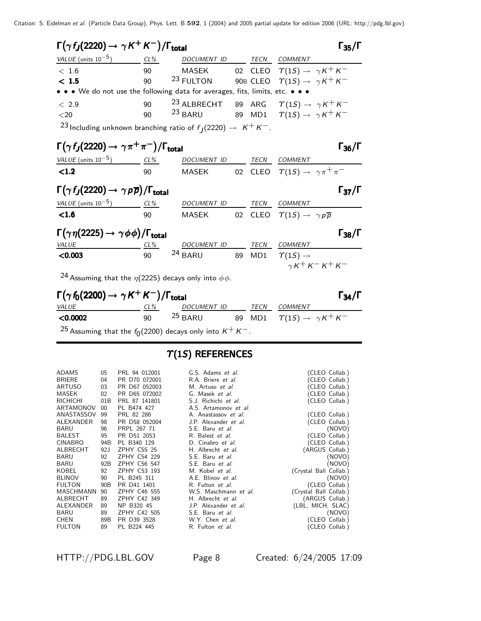| $\Gamma(\gamma f_J(2220) \rightarrow \gamma K^+ K^-)/\Gamma_{\text{total}}$          |     |                                                                               |    |                                                                | $\Gamma_{35}/\Gamma$ |
|--------------------------------------------------------------------------------------|-----|-------------------------------------------------------------------------------|----|----------------------------------------------------------------|----------------------|
| $VALUE (units 10-5)$ CL%                                                             |     | DOCUMENT ID TECN COMMENT                                                      |    |                                                                |                      |
| < 1.6                                                                                | 90  |                                                                               |    | MASEK 02 CLEO $\Upsilon(1S) \rightarrow \gamma K^+ K^-$        |                      |
| $<1.5$                                                                               | 90  | $^{23}$ FULTON 90B CLEO $\ \ \  \, \gamma(1S) \rightarrow \ \ \gamma K^+ K^-$ |    |                                                                |                      |
| • • • We do not use the following data for averages, fits, limits, etc. • • •        |     |                                                                               |    |                                                                |                      |
| < 2.9                                                                                |     | 90 <sup>23</sup> ALBRECHT 89 ARG $\Upsilon(1S) \rightarrow \gamma K^+ K^-$    |    |                                                                |                      |
| $20$                                                                                 | 90  | $^{23}$ BARU 89 MD1 $\varUpsilon(1S) \rightarrow \gamma K^+ K^-$              |    |                                                                |                      |
| <sup>23</sup> Including unknown branching ratio of $f_1(2220) \rightarrow K^+ K^-$ . |     |                                                                               |    |                                                                |                      |
| $\Gamma(\gamma f_J(2220) \to \gamma \pi^+ \pi^-)/\Gamma_{\text{total}}$              |     |                                                                               |    |                                                                | $\Gamma_{36}/\Gamma$ |
| $VALUE (units 10-5)$ CL% DOCUMENT ID                                                 |     |                                                                               |    | TECN COMMENT                                                   |                      |
| <1.2                                                                                 | 90  |                                                                               |    | MASEK 02 CLEO $\varUpsilon(1S) \rightarrow \gamma \pi^+ \pi^-$ |                      |
| $\Gamma(\gamma f_J(2220) \rightarrow \gamma p \overline{p})/\Gamma_{\text{total}}$   |     |                                                                               |    |                                                                | $\Gamma_{37}/\Gamma$ |
| $VALUE$ (units $10^{-5}$ ) CL%                                                       |     | DOCUMENT ID TECN                                                              |    | COMMENT                                                        |                      |
| $\leq1.6$                                                                            |     | 90 MASEK 02 CLEO $\Upsilon(1S) \rightarrow \gamma p \overline{p}$             |    |                                                                |                      |
| $\Gamma(\gamma\eta(2225)\to\gamma\phi\phi)/\Gamma_{\rm total}$                       |     |                                                                               |    |                                                                | $\Gamma_{38}/\Gamma$ |
| VALUE<br>$CL\%$                                                                      |     | DOCUMENT ID TECN COMMENT                                                      |    |                                                                |                      |
| < 0.003                                                                              | 90  | $24$ BARU                                                                     | 89 | MD1 $\gamma(1S) \rightarrow$                                   |                      |
|                                                                                      |     |                                                                               |    | $\gamma K^+ K^- K^+ K^-$                                       |                      |
| <sup>24</sup> Assuming that the $\eta(2225)$ decays only into $\phi\phi$ .           |     |                                                                               |    |                                                                |                      |
| $\Gamma(\gamma f_0(2200) \rightarrow \gamma K^+ K^-)/\Gamma_{\text{total}}$          |     |                                                                               |    |                                                                | $\Gamma_{34}/\Gamma$ |
| <b>VALUE</b>                                                                         | CL% | DOCUMENT ID                                                                   |    | <b>TECN COMMENT</b>                                            |                      |
| $\sim$ 00<br>∕∩ ∩∩∩                                                                  |     | 25 PADU 90 MD1 $\gamma(15)$ $\gamma(k) = k + k$                               |    |                                                                |                      |

**<0.0002** 90 <sup>25</sup> BARU 89 MD1  $\gamma(1S) \to \gamma K^+ K^ ^{25}$  Assuming that the  $f_{\rm 0}$ (2200) decays only into  $\rm{\it K^{+}K^{-}.}$ 

## $T(1S)$  REFERENCES

| ADAMS         | 05              | PRL 94 012001 | G.S. Adams et al.     | (CLEO Collab.)         |
|---------------|-----------------|---------------|-----------------------|------------------------|
| BRIERE        | 04              | PR D70 072001 | R.A. Briere et al.    | (CLEO Collab.)         |
| ARTUSO        | 03              | PR D67 052003 | M. Artuso et al.      | (CLEO Collab.)         |
| MASEK         | 02              | PR D65 072002 | G. Masek et al.       | (CLEO Collab.)         |
| richichi      | 01B             | PRL 87 141801 | S.J. Richichi et al.  | (CLEO Collab.)         |
| ARTAMONOV     | $00\,$          | PL B474 427   | A.S. Artamonov et al. |                        |
| ANASTASSOV    | 99              | PRL 82 286    | A. Anastassov et al.  | (CLEO Collab.)         |
| ALEXANDER     | 98              | PR D58 052004 | J.P. Alexander et al. | (CLEO Collab.)         |
| BARU          | 96              | PRPL 267 71   | S.E. Baru et al.      | (NOVO)                 |
| BALEST        | 95              | PR D51 2053   | R. Balest et al.      | (CLEO Collab.)         |
| CINABRO       | 94B             | PL B340 129   | D. Cinabro et al.     | (CLEO Collab.)         |
| ALBRECHT      | 92J             | ZPHY C55 25   | H. Albrecht et al.    | (ARGUS Collab.)        |
| BARU          | 92              | ZPHY C54 229  | S.E. Baru et al.      | (NOVO)                 |
| BARU          | 92B             | ZPHY C56 547  | S.E. Baru et al.      | (NOVO)                 |
| KOBEL         | 92              | ZPHY C53 193  | M. Kobel et al.       | (Crystal Ball Collab.) |
| <b>BLINOV</b> | 90              | PL B245 311   | A.E. Blinov et al.    | (NOVO)                 |
| <b>FULTON</b> | 90 <sub>B</sub> | PR D41 1401   | R. Fulton et al.      | (CLEO Collab.)         |
| MASCHMANN     | 90              | ZPHY C46 555  | W.S. Maschmann et al. | (Crystal Ball Collab.) |
| ALBRECHT      | 89              | ZPHY C42 349  | H. Albrecht et al.    | (ARGUS Collab.)        |
| ALEXANDER     | 89              | NP B320 45    | J.P. Alexander et al. | (LBL, MICH, SLAC)      |
| BARU          | 89              | ZPHY C42 505  | S.E. Baru et al.      | (NOVO)                 |
| CHEN          | 89B             | PR D39 3528   | W.Y. Chen et al.      | (CLEO Collab.)         |
| FULTON        | 89              | PL B224 445   | R. Fulton et al.      | (CLEO Collab.)         |
|               |                 |               |                       |                        |
|               |                 |               |                       |                        |